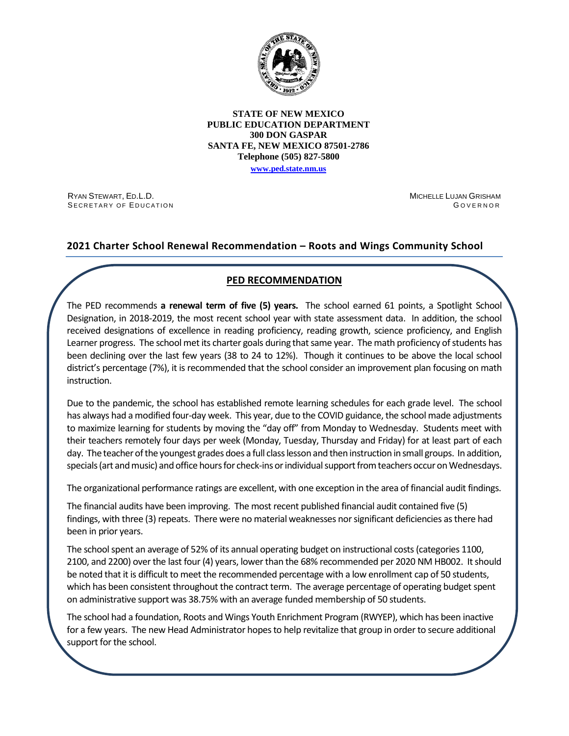

#### **STATE OF NEW MEXICO PUBLIC EDUCATION DEPARTMENT 300 DON GASPAR SANTA FE, NEW MEXICO 87501-2786 Telephone (505) 827-5800**

**[www.ped.state.nm.us](http://webnew.ped.state.nm.us/)**

RYAN STEWART, ED.L.D. SECRETARY OF EDUCATION MICHELLE LUJAN GRISHAM G OVERNOR

# **2021 Charter School Renewal Recommendation – Roots and Wings Community School**

# **PED RECOMMENDATION**

The PED recommends **a renewal term of five (5) years.** The school earned 61 points, a Spotlight School Designation, in 2018-2019, the most recent school year with state assessment data. In addition, the school received designations of excellence in reading proficiency, reading growth, science proficiency, and English Learner progress. The school met its charter goals during that same year. The math proficiency of students has been declining over the last few years (38 to 24 to 12%). Though it continues to be above the local school district's percentage (7%), it is recommended that the school consider an improvement plan focusing on math instruction.

Due to the pandemic, the school has established remote learning schedules for each grade level. The school has always had a modified four-day week. This year, due to the COVID guidance, the school made adjustments to maximize learning for students by moving the "day off" from Monday to Wednesday. Students meet with their teachers remotely four days per week (Monday, Tuesday, Thursday and Friday) for at least part of each day. The teacher of the youngest grades does a full class lesson and then instruction in small groups. In addition, specials (art and music) and office hours for check-ins or individual support from teachers occur on Wednesdays.

The organizational performance ratings are excellent, with one exception in the area of financial audit findings.

The financial audits have been improving. The most recent published financial audit contained five (5) findings, with three (3) repeats. There were no material weaknesses nor significant deficiencies as there had been in prior years.

The school spent an average of 52% of its annual operating budget on instructional costs (categories 1100, 2100, and 2200) over the last four (4) years, lower than the 68% recommended per 2020 NM HB002. It should be noted that it is difficult to meet the recommended percentage with a low enrollment cap of 50 students, which has been consistent throughout the contract term. The average percentage of operating budget spent on administrative support was 38.75% with an average funded membership of 50 students.

The school had a foundation, Roots and Wings Youth Enrichment Program (RWYEP), which has been inactive for a few years. The new Head Administrator hopes to help revitalize that group in order to secure additional support for the school.